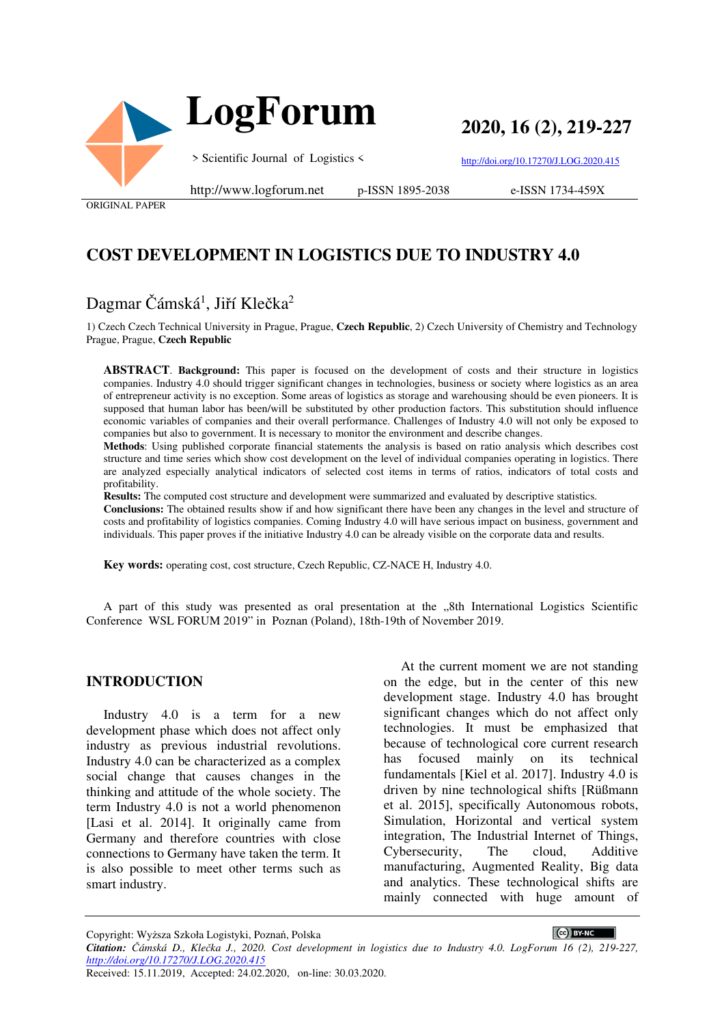

 **LogForum**

**2020, 16 (2), 219-227**

> Scientific Journal of Logistics <

http://doi.org/10.17270/J.LOG.2020.415

ORIGINAL PAPER

http://www.logforum.net p-ISSN 1895-2038

e-ISSN 1734-459X

# **COST DEVELOPMENT IN LOGISTICS DUE TO INDUSTRY 4.0**

# Dagmar Čámská<sup>1</sup>, Jiří Klečka<sup>2</sup>

1) Czech Czech Technical University in Prague, Prague, **Czech Republic**, 2) Czech University of Chemistry and Technology Prague, Prague, **Czech Republic**

**ABSTRACT**. **Background:** This paper is focused on the development of costs and their structure in logistics companies. Industry 4.0 should trigger significant changes in technologies, business or society where logistics as an area of entrepreneur activity is no exception. Some areas of logistics as storage and warehousing should be even pioneers. It is supposed that human labor has been/will be substituted by other production factors. This substitution should influence economic variables of companies and their overall performance. Challenges of Industry 4.0 will not only be exposed to companies but also to government. It is necessary to monitor the environment and describe changes.

**Methods**: Using published corporate financial statements the analysis is based on ratio analysis which describes cost structure and time series which show cost development on the level of individual companies operating in logistics. There are analyzed especially analytical indicators of selected cost items in terms of ratios, indicators of total costs and profitability.

**Results:** The computed cost structure and development were summarized and evaluated by descriptive statistics.

**Conclusions:** The obtained results show if and how significant there have been any changes in the level and structure of costs and profitability of logistics companies. Coming Industry 4.0 will have serious impact on business, government and individuals. This paper proves if the initiative Industry 4.0 can be already visible on the corporate data and results.

**Key words:** operating cost, cost structure, Czech Republic, CZ-NACE H, Industry 4.0.

A part of this study was presented as oral presentation at the "8th International Logistics Scientific Conference WSL FORUM 2019" in Poznan (Poland), 18th-19th of November 2019.

#### **INTRODUCTION**

Industry 4.0 is a term for a new development phase which does not affect only industry as previous industrial revolutions. Industry 4.0 can be characterized as a complex social change that causes changes in the thinking and attitude of the whole society. The term Industry 4.0 is not a world phenomenon [Lasi et al. 2014]. It originally came from Germany and therefore countries with close connections to Germany have taken the term. It is also possible to meet other terms such as smart industry.

At the current moment we are not standing on the edge, but in the center of this new development stage. Industry 4.0 has brought significant changes which do not affect only technologies. It must be emphasized that because of technological core current research has focused mainly on its technical fundamentals [Kiel et al. 2017]. Industry 4.0 is driven by nine technological shifts [Rüßmann et al. 2015], specifically Autonomous robots, Simulation, Horizontal and vertical system integration, The Industrial Internet of Things, Cybersecurity, The cloud, Additive manufacturing, Augmented Reality, Big data and analytics. These technological shifts are mainly connected with huge amount of

CC BY-NC

Copyright: Wyższa Szkoła Logistyki, Poznań, Polska

*Citation: Čámská D., Klečka J., 2020. Cost development in logistics due to Industry 4.0. LogForum 16 (2), 219-227, http://doi.org/10.17270/J.LOG.2020.415*  Received: 15.11.2019, Accepted: 24.02.2020, on-line: 30.03.2020.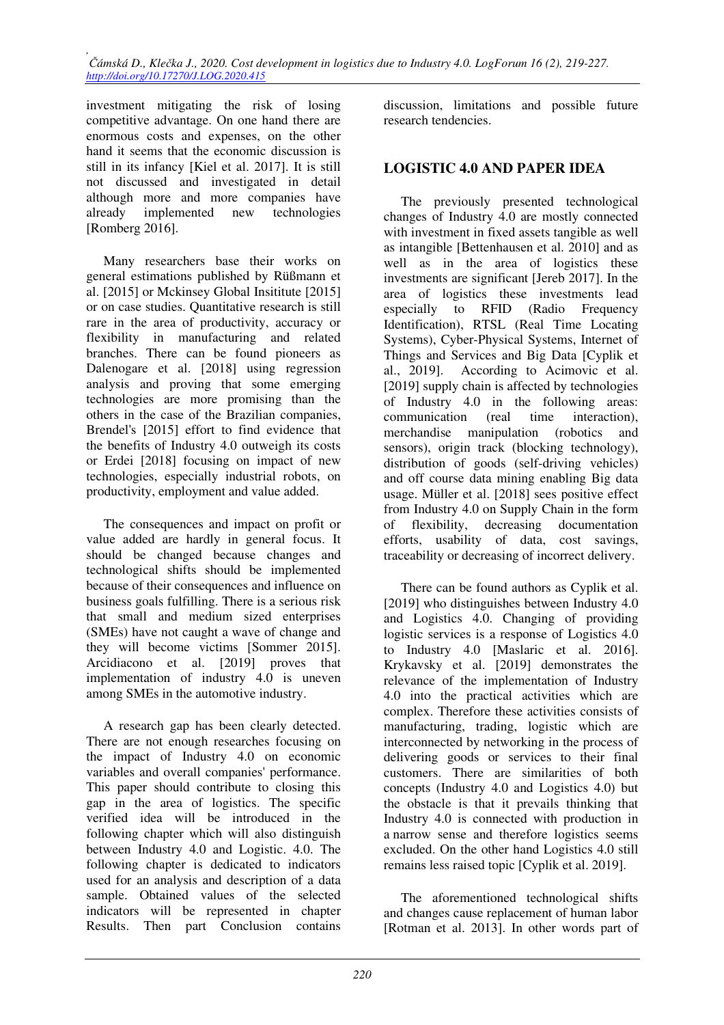investment mitigating the risk of losing competitive advantage. On one hand there are enormous costs and expenses, on the other hand it seems that the economic discussion is still in its infancy [Kiel et al. 2017]. It is still not discussed and investigated in detail although more and more companies have already implemented new technologies [Romberg 2016].

Many researchers base their works on general estimations published by Rüßmann et al. [2015] or Mckinsey Global Insititute [2015] or on case studies. Quantitative research is still rare in the area of productivity, accuracy or flexibility in manufacturing and related branches. There can be found pioneers as Dalenogare et al. [2018] using regression analysis and proving that some emerging technologies are more promising than the others in the case of the Brazilian companies, Brendel's [2015] effort to find evidence that the benefits of Industry 4.0 outweigh its costs or Erdei [2018] focusing on impact of new technologies, especially industrial robots, on productivity, employment and value added.

The consequences and impact on profit or value added are hardly in general focus. It should be changed because changes and technological shifts should be implemented because of their consequences and influence on business goals fulfilling. There is a serious risk that small and medium sized enterprises (SMEs) have not caught a wave of change and they will become victims [Sommer 2015]. Arcidiacono et al. [2019] proves that implementation of industry 4.0 is uneven among SMEs in the automotive industry.

A research gap has been clearly detected. There are not enough researches focusing on the impact of Industry 4.0 on economic variables and overall companies' performance. This paper should contribute to closing this gap in the area of logistics. The specific verified idea will be introduced in the following chapter which will also distinguish between Industry 4.0 and Logistic. 4.0. The following chapter is dedicated to indicators used for an analysis and description of a data sample. Obtained values of the selected indicators will be represented in chapter Results. Then part Conclusion contains

discussion, limitations and possible future research tendencies.

## **LOGISTIC 4.0 AND PAPER IDEA**

The previously presented technological changes of Industry 4.0 are mostly connected with investment in fixed assets tangible as well as intangible [Bettenhausen et al. 2010] and as well as in the area of logistics these investments are significant [Jereb 2017]. In the area of logistics these investments lead especially to RFID (Radio Frequency Identification), RTSL (Real Time Locating Systems), Cyber-Physical Systems, Internet of Things and Services and Big Data [Cyplik et al., 2019]. According to Acimovic et al. [2019] supply chain is affected by technologies of Industry 4.0 in the following areas: communication (real time interaction), merchandise manipulation (robotics and sensors), origin track (blocking technology), distribution of goods (self-driving vehicles) and off course data mining enabling Big data usage. Müller et al. [2018] sees positive effect from Industry 4.0 on Supply Chain in the form of flexibility, decreasing documentation efforts, usability of data, cost savings, traceability or decreasing of incorrect delivery.

There can be found authors as Cyplik et al. [2019] who distinguishes between Industry 4.0 and Logistics 4.0. Changing of providing logistic services is a response of Logistics 4.0 to Industry 4.0 [Maslaric et al. 2016]. Krykavsky et al. [2019] demonstrates the relevance of the implementation of Industry 4.0 into the practical activities which are complex. Therefore these activities consists of manufacturing, trading, logistic which are interconnected by networking in the process of delivering goods or services to their final customers. There are similarities of both concepts (Industry 4.0 and Logistics 4.0) but the obstacle is that it prevails thinking that Industry 4.0 is connected with production in a narrow sense and therefore logistics seems excluded. On the other hand Logistics 4.0 still remains less raised topic [Cyplik et al. 2019].

The aforementioned technological shifts and changes cause replacement of human labor [Rotman et al. 2013]. In other words part of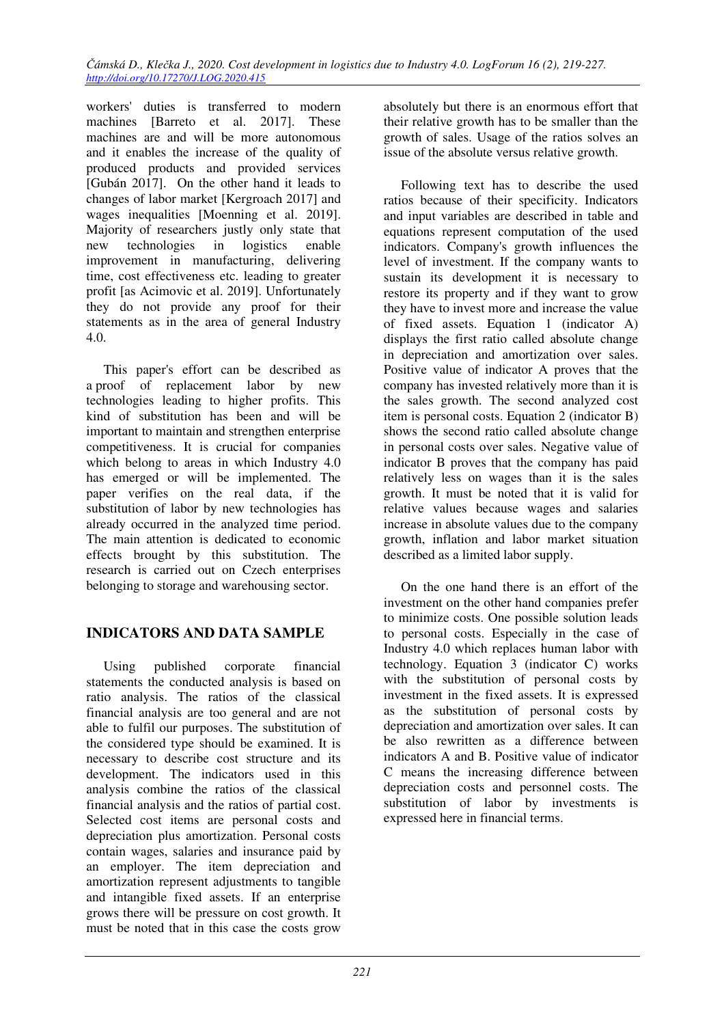workers' duties is transferred to modern machines [Barreto et al. 2017]. These machines are and will be more autonomous and it enables the increase of the quality of produced products and provided services [Gubán 2017]. On the other hand it leads to changes of labor market [Kergroach 2017] and wages inequalities [Moenning et al. 2019]. Majority of researchers justly only state that new technologies in logistics enable improvement in manufacturing, delivering time, cost effectiveness etc. leading to greater profit [as Acimovic et al. 2019]. Unfortunately they do not provide any proof for their statements as in the area of general Industry 4.0.

This paper's effort can be described as a proof of replacement labor by new technologies leading to higher profits. This kind of substitution has been and will be important to maintain and strengthen enterprise competitiveness. It is crucial for companies which belong to areas in which Industry 4.0 has emerged or will be implemented. The paper verifies on the real data, if the substitution of labor by new technologies has already occurred in the analyzed time period. The main attention is dedicated to economic effects brought by this substitution. The research is carried out on Czech enterprises belonging to storage and warehousing sector.

## **INDICATORS AND DATA SAMPLE**

Using published corporate financial statements the conducted analysis is based on ratio analysis. The ratios of the classical financial analysis are too general and are not able to fulfil our purposes. The substitution of the considered type should be examined. It is necessary to describe cost structure and its development. The indicators used in this analysis combine the ratios of the classical financial analysis and the ratios of partial cost. Selected cost items are personal costs and depreciation plus amortization. Personal costs contain wages, salaries and insurance paid by an employer. The item depreciation and amortization represent adjustments to tangible and intangible fixed assets. If an enterprise grows there will be pressure on cost growth. It must be noted that in this case the costs grow

absolutely but there is an enormous effort that their relative growth has to be smaller than the growth of sales. Usage of the ratios solves an issue of the absolute versus relative growth.

Following text has to describe the used ratios because of their specificity. Indicators and input variables are described in table and equations represent computation of the used indicators. Company's growth influences the level of investment. If the company wants to sustain its development it is necessary to restore its property and if they want to grow they have to invest more and increase the value of fixed assets. Equation 1 (indicator A) displays the first ratio called absolute change in depreciation and amortization over sales. Positive value of indicator A proves that the company has invested relatively more than it is the sales growth. The second analyzed cost item is personal costs. Equation 2 (indicator B) shows the second ratio called absolute change in personal costs over sales. Negative value of indicator B proves that the company has paid relatively less on wages than it is the sales growth. It must be noted that it is valid for relative values because wages and salaries increase in absolute values due to the company growth, inflation and labor market situation described as a limited labor supply.

On the one hand there is an effort of the investment on the other hand companies prefer to minimize costs. One possible solution leads to personal costs. Especially in the case of Industry 4.0 which replaces human labor with technology. Equation 3 (indicator C) works with the substitution of personal costs by investment in the fixed assets. It is expressed as the substitution of personal costs by depreciation and amortization over sales. It can be also rewritten as a difference between indicators A and B. Positive value of indicator C means the increasing difference between depreciation costs and personnel costs. The substitution of labor by investments is expressed here in financial terms.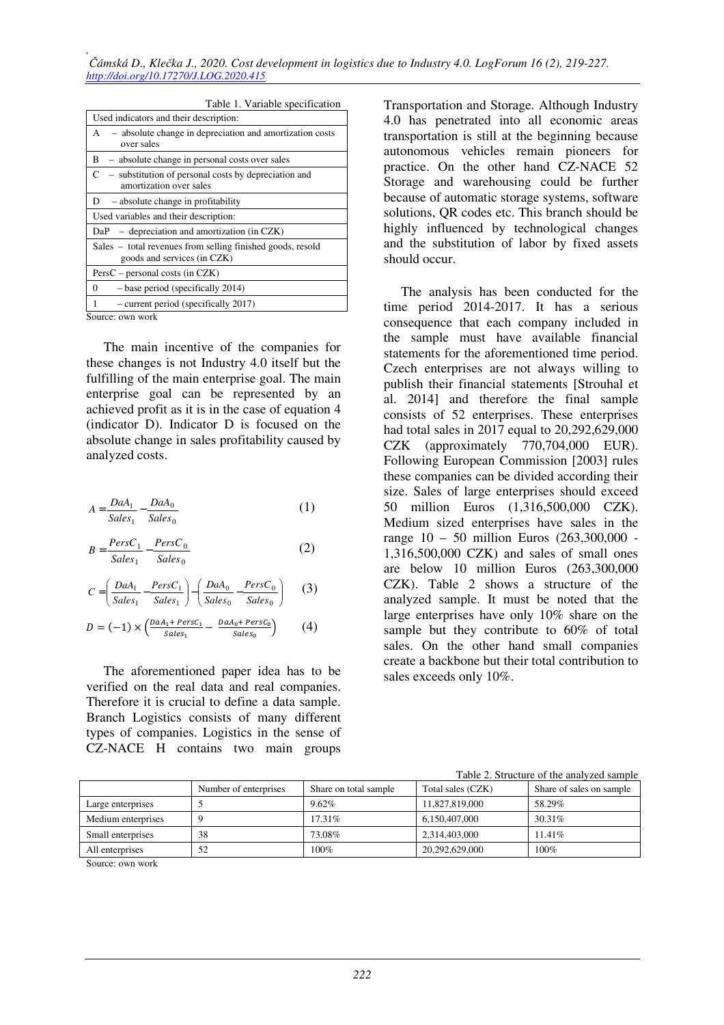| Table 1. Variable specification                                                           |
|-------------------------------------------------------------------------------------------|
| Used indicators and their description:                                                    |
| - absolute change in depreciation and amortization costs<br>A<br>over sales               |
| - absolute change in personal costs over sales<br>B                                       |
| C<br>- substitution of personal costs by depreciation and<br>amortization over sales      |
| - absolute change in profitability<br>D                                                   |
| Used variables and their description:                                                     |
| $-$ depreciation and amortization (in CZK)<br>DaP                                         |
| Sales – total revenues from selling finished goods, resold<br>goods and services (in CZK) |
| $PersC - personal costs (in CZK)$                                                         |
| - base period (specifically 2014)<br>0                                                    |
| - current period (specifically 2017)                                                      |
| Source: own work                                                                          |

The main incentive of the companies for these changes is not Industry 4.0 itself but the fulfilling of the main enterprise goal. The main enterprise goal can be represented by an achieved profit as it is in the case of equation 4 (indicator D). Indicator D is focused on the absolute change in sales profitability caused by analyzed costs.

$$
A = \frac{DaA_1}{Sales_1} - \frac{DaA_0}{Sales_0} \tag{1}
$$

$$
B = \frac{PersC_1}{Sales_1} - \frac{PersC_0}{Sales_0}
$$
 (2)

$$
C = \left(\frac{DaA_1}{Sales_1} - \frac{PersC_1}{Sales_1}\right) - \left(\frac{DaA_0}{Sales_0} - \frac{PersC_0}{Sales_0}\right) \tag{3}
$$

$$
D = (-1) \times \left( \frac{DaA_1 + PersC_1}{Sales_1} - \frac{DaA_0 + PersC_0}{Sales_0} \right) \tag{4}
$$

The aforementioned paper idea has to be verified on the real data and real companies. Therefore it is crucial to define a data sample. Branch Logistics consists of many different types of companies. Logistics in the sense of CZ-NACE H contains two main groups

Transportation and Storage. Although Industry 4.0 has penetrated into all economic areas transportation is still at the beginning because autonomous vehicles remain pioneers for practice. On the other hand CZ-NACE 52 Storage and warehousing could be further because of automatic storage systems, software solutions, QR codes etc. This branch should be highly influenced by technological changes and the substitution of labor by fixed assets should occur.

The analysis has been conducted for the time period 2014-2017. It has a serious consequence that each company included in the sample must have available financial statements for the aforementioned time period. Czech enterprises are not always willing to publish their financial statements [Strouhal et al. 2014] and therefore the final sample consists of 52 enterprises. These enterprises had total sales in 2017 equal to 20,292,629,000 CZK (approximately 770,704,000 EUR). Following European Commission [2003] rules these companies can be divided according their size. Sales of large enterprises should exceed 50 million Euros (1,316,500,000 CZK). Medium sized enterprises have sales in the range 10 – 50 million Euros (263,300,000 - 1,316,500,000 CZK) and sales of small ones are below 10 million Euros (263,300,000 CZK). Table 2 shows a structure of the analyzed sample. It must be noted that the large enterprises have only 10% share on the sample but they contribute to 60% of total sales. On the other hand small companies create a backbone but their total contribution to sales exceeds only 10%.

|                    | Number of enterprises | Share on total sample | Total sales (CZK) | Share of sales on sample |
|--------------------|-----------------------|-----------------------|-------------------|--------------------------|
| Large enterprises  |                       | 9.62%                 | 11,827,819,000    | 58.29%                   |
| Medium enterprises |                       | 17.31\%               | 6,150,407,000     | 30.31\%                  |
| Small enterprises  | 38                    | 73.08%                | 2,314,403,000     | 11.41%                   |
| All enterprises    | 52                    | 100%                  | 20,292,629,000    | $100\%$                  |
|                    |                       |                       |                   |                          |

Table 2. Structure of the analyzed sample

Source: own work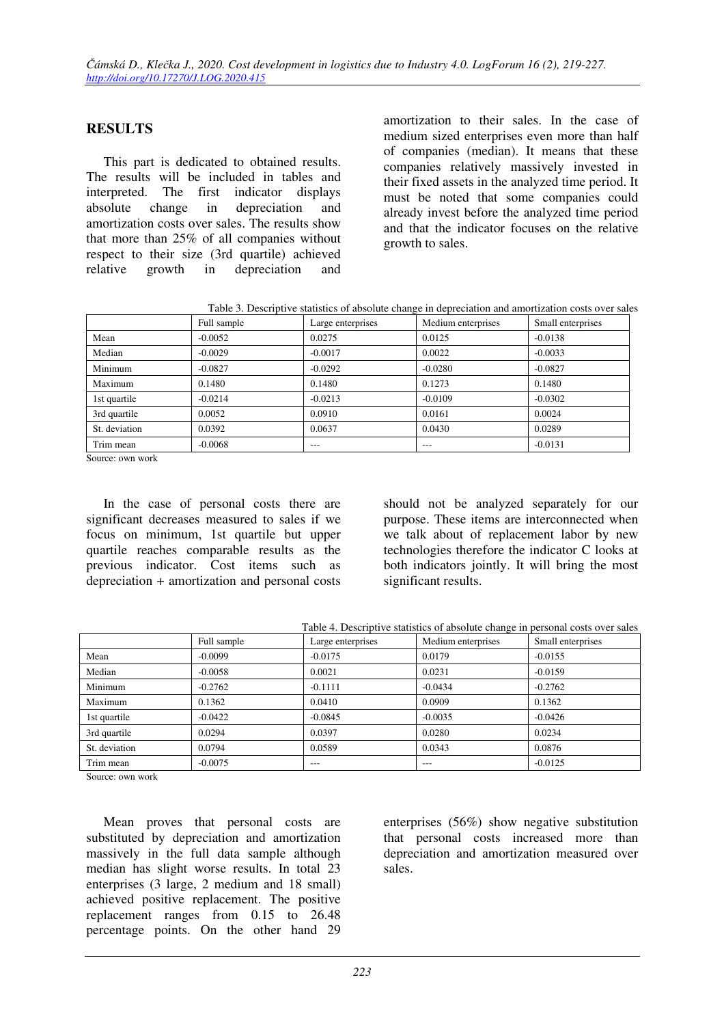## **RESULTS**

This part is dedicated to obtained results. The results will be included in tables and interpreted. The first indicator displays absolute change in depreciation and amortization costs over sales. The results show that more than 25% of all companies without respect to their size (3rd quartile) achieved relative growth in depreciation and

amortization to their sales. In the case of medium sized enterprises even more than half of companies (median). It means that these companies relatively massively invested in their fixed assets in the analyzed time period. It must be noted that some companies could already invest before the analyzed time period and that the indicator focuses on the relative growth to sales.

Table 3. Descriptive statistics of absolute change in depreciation and amortization costs over sales

|               | Full sample | Large enterprises | Medium enterprises | Small enterprises |
|---------------|-------------|-------------------|--------------------|-------------------|
| Mean          | $-0.0052$   | 0.0275            | 0.0125             | $-0.0138$         |
| Median        | $-0.0029$   | $-0.0017$         | 0.0022             | $-0.0033$         |
| Minimum       | $-0.0827$   | $-0.0292$         | $-0.0280$          | $-0.0827$         |
| Maximum       | 0.1480      | 0.1480            | 0.1273             | 0.1480            |
| 1st quartile  | $-0.0214$   | $-0.0213$         | $-0.0109$          | $-0.0302$         |
| 3rd quartile  | 0.0052      | 0.0910            | 0.0161             | 0.0024            |
| St. deviation | 0.0392      | 0.0637            | 0.0430             | 0.0289            |
| Trim mean     | $-0.0068$   | ---               | ---                | $-0.0131$         |

Source: own work

In the case of personal costs there are significant decreases measured to sales if we focus on minimum, 1st quartile but upper quartile reaches comparable results as the previous indicator. Cost items such as depreciation + amortization and personal costs

should not be analyzed separately for our purpose. These items are interconnected when we talk about of replacement labor by new technologies therefore the indicator C looks at both indicators jointly. It will bring the most significant results.

|               |             | Table 4. Descriptive statistics of absolute change in personal costs over sales |                    |                   |
|---------------|-------------|---------------------------------------------------------------------------------|--------------------|-------------------|
|               | Full sample | Large enterprises                                                               | Medium enterprises | Small enterprises |
| Mean          | $-0.0099$   | $-0.0175$                                                                       | 0.0179             | $-0.0155$         |
| Median        | $-0.0058$   | 0.0021                                                                          | 0.0231             | $-0.0159$         |
| Minimum       | $-0.2762$   | $-0.1111$                                                                       | $-0.0434$          | $-0.2762$         |
| Maximum       | 0.1362      | 0.0410                                                                          | 0.0909             | 0.1362            |
| 1st quartile  | $-0.0422$   | $-0.0845$                                                                       | $-0.0035$          | $-0.0426$         |
| 3rd quartile  | 0.0294      | 0.0397                                                                          | 0.0280             | 0.0234            |
| St. deviation | 0.0794      | 0.0589                                                                          | 0.0343             | 0.0876            |
| Trim mean     | $-0.0075$   | ---                                                                             | ---                | $-0.0125$         |

Table 4. Descriptive statistics of absolute change in personal costs over sales

Source: own work

Mean proves that personal costs are substituted by depreciation and amortization massively in the full data sample although median has slight worse results. In total 23 enterprises (3 large, 2 medium and 18 small) achieved positive replacement. The positive replacement ranges from 0.15 to 26.48 percentage points. On the other hand 29

enterprises (56%) show negative substitution that personal costs increased more than depreciation and amortization measured over sales.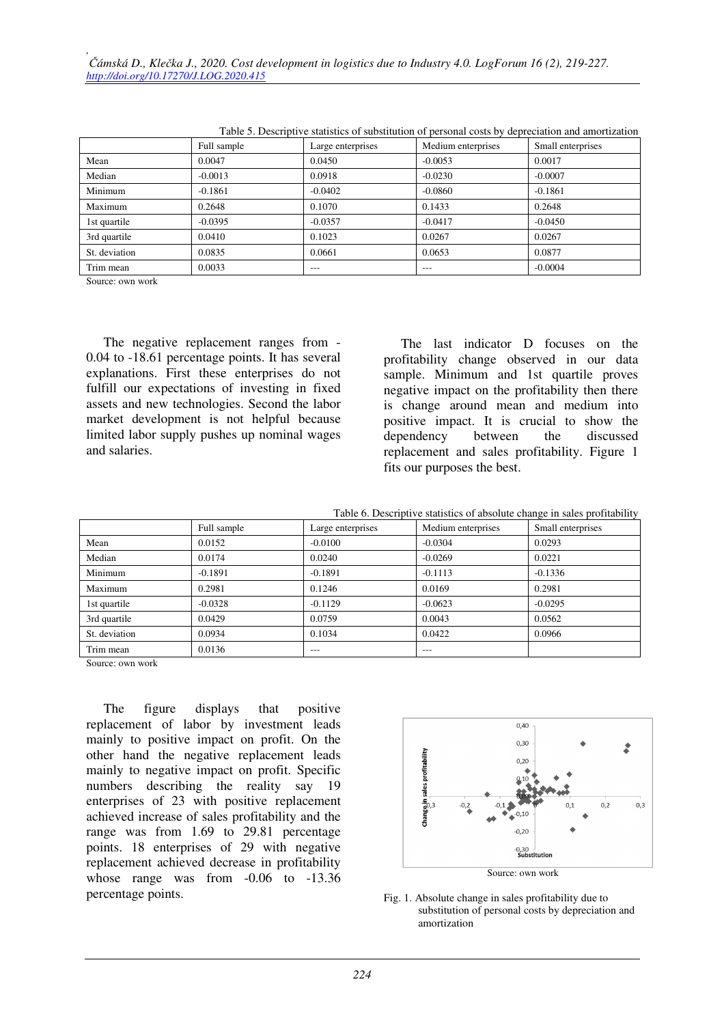| Table 5. Descriptive statistics of substitution of personal costs by depreciation and amortization |             |                   |                    |                   |
|----------------------------------------------------------------------------------------------------|-------------|-------------------|--------------------|-------------------|
|                                                                                                    | Full sample | Large enterprises | Medium enterprises | Small enterprises |
| Mean                                                                                               | 0.0047      | 0.0450            | $-0.0053$          | 0.0017            |
| Median                                                                                             | $-0.0013$   | 0.0918            | $-0.0230$          | $-0.0007$         |
| Minimum                                                                                            | $-0.1861$   | $-0.0402$         | $-0.0860$          | $-0.1861$         |
| Maximum                                                                                            | 0.2648      | 0.1070            | 0.1433             | 0.2648            |
| 1st quartile                                                                                       | $-0.0395$   | $-0.0357$         | $-0.0417$          | $-0.0450$         |
| 3rd quartile                                                                                       | 0.0410      | 0.1023            | 0.0267             | 0.0267            |
| St. deviation                                                                                      | 0.0835      | 0.0661            | 0.0653             | 0.0877            |
| Trim mean                                                                                          | 0.0033      | $---$             | $---$              | $-0.0004$         |

Table 5. Descriptive statistics of substitution of personal costs by depreciation and amortization

Source: own work

The negative replacement ranges from - 0.04 to -18.61 percentage points. It has several explanations. First these enterprises do not fulfill our expectations of investing in fixed assets and new technologies. Second the labor market development is not helpful because limited labor supply pushes up nominal wages and salaries.

The last indicator D focuses on the profitability change observed in our data sample. Minimum and 1st quartile proves negative impact on the profitability then there is change around mean and medium into positive impact. It is crucial to show the dependency between the discussed replacement and sales profitability. Figure 1 fits our purposes the best.

Table 6. Descriptive statistics of absolute change in sales profitability

|               | Full sample | Large enterprises | Medium enterprises | Small enterprises |
|---------------|-------------|-------------------|--------------------|-------------------|
| Mean          | 0.0152      | $-0.0100$         | $-0.0304$          | 0.0293            |
| Median        | 0.0174      | 0.0240            | $-0.0269$          | 0.0221            |
| Minimum       | $-0.1891$   | $-0.1891$         | $-0.1113$          | $-0.1336$         |
| Maximum       | 0.2981      | 0.1246            | 0.0169             | 0.2981            |
| 1st quartile  | $-0.0328$   | $-0.1129$         | $-0.0623$          | $-0.0295$         |
| 3rd quartile  | 0.0429      | 0.0759            | 0.0043             | 0.0562            |
| St. deviation | 0.0934      | 0.1034            | 0.0422             | 0.0966            |
| Trim mean     | 0.0136      | ---               | ---                |                   |

Source: own work

The figure displays that positive replacement of labor by investment leads mainly to positive impact on profit. On the other hand the negative replacement leads mainly to negative impact on profit. Specific numbers describing the reality say 19 enterprises of 23 with positive replacement achieved increase of sales profitability and the range was from 1.69 to 29.81 percentage points. 18 enterprises of 29 with negative replacement achieved decrease in profitability whose range was from -0.06 to -13.36 percentage points.



Fig. 1. Absolute change in sales profitability due to substitution of personal costs by depreciation and amortization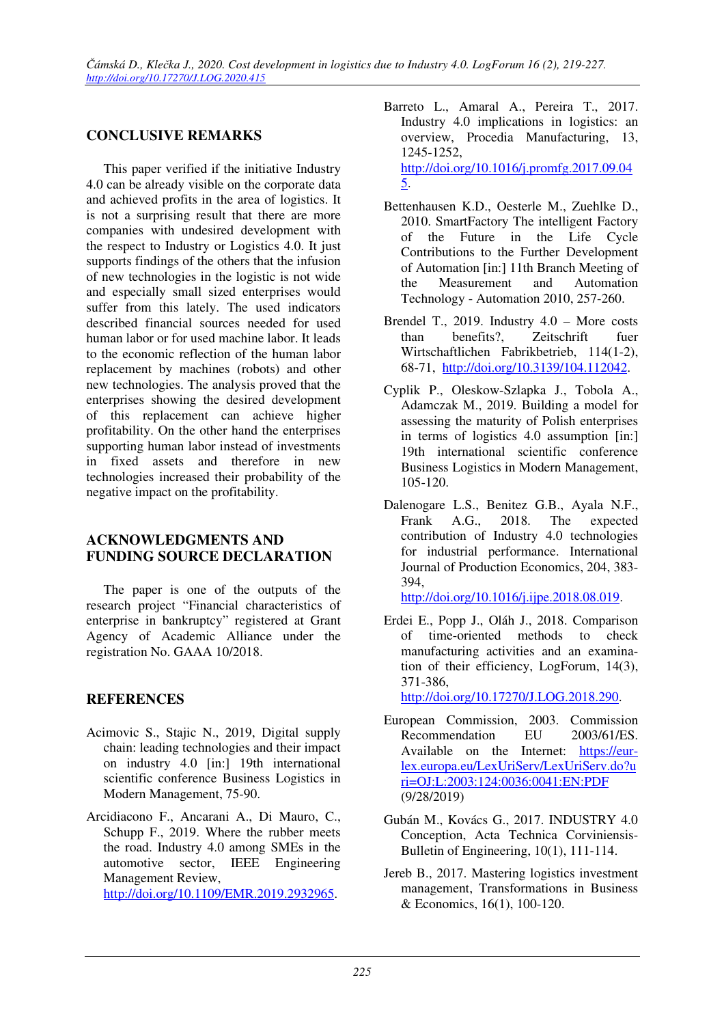#### **CONCLUSIVE REMARKS**

This paper verified if the initiative Industry 4.0 can be already visible on the corporate data and achieved profits in the area of logistics. It is not a surprising result that there are more companies with undesired development with the respect to Industry or Logistics 4.0. It just supports findings of the others that the infusion of new technologies in the logistic is not wide and especially small sized enterprises would suffer from this lately. The used indicators described financial sources needed for used human labor or for used machine labor. It leads to the economic reflection of the human labor replacement by machines (robots) and other new technologies. The analysis proved that the enterprises showing the desired development of this replacement can achieve higher profitability. On the other hand the enterprises supporting human labor instead of investments in fixed assets and therefore in new technologies increased their probability of the negative impact on the profitability.

#### **ACKNOWLEDGMENTS AND FUNDING SOURCE DECLARATION**

The paper is one of the outputs of the research project "Financial characteristics of enterprise in bankruptcy" registered at Grant Agency of Academic Alliance under the registration No. GAAA 10/2018.

#### **REFERENCES**

- Acimovic S., Stajic N., 2019, Digital supply chain: leading technologies and their impact on industry 4.0 [in:] 19th international scientific conference Business Logistics in Modern Management, 75-90.
- Arcidiacono F., Ancarani A., Di Mauro, C., Schupp F., 2019. Where the rubber meets the road. Industry 4.0 among SMEs in the automotive sector, IEEE Engineering Management Review, http://doi.org/10.1109/EMR.2019.2932965.
- Barreto L., Amaral A., Pereira T., 2017. Industry 4.0 implications in logistics: an overview, Procedia Manufacturing, 13, 1245-1252, http://doi.org/10.1016/j.promfg.2017.09.04 5.
- Bettenhausen K.D., Oesterle M., Zuehlke D., 2010. SmartFactory The intelligent Factory of the Future in the Life Cycle Contributions to the Further Development of Automation [in:] 11th Branch Meeting of the Measurement and Automation Technology - Automation 2010, 257-260.
- Brendel T., 2019. Industry 4.0 More costs than benefits?, Zeitschrift fuer Wirtschaftlichen Fabrikbetrieb, 114(1-2), 68-71, http://doi.org/10.3139/104.112042.
- Cyplik P., Oleskow-Szlapka J., Tobola A., Adamczak M., 2019. Building a model for assessing the maturity of Polish enterprises in terms of logistics 4.0 assumption [in:] 19th international scientific conference Business Logistics in Modern Management, 105-120.
- Dalenogare L.S., Benitez G.B., Ayala N.F., Frank A.G., 2018. The expected contribution of Industry 4.0 technologies for industrial performance. International Journal of Production Economics, 204, 383- 394,

http://doi.org/10.1016/j.ijpe.2018.08.019.

Erdei E., Popp J., Oláh J., 2018. Comparison of time-oriented methods to check manufacturing activities and an examination of their efficiency, LogForum, 14(3), 371-386,

http://doi.org/10.17270/J.LOG.2018.290.

- European Commission, 2003. Commission Recommendation EU 2003/61/ES. Available on the Internet: https://eurlex.europa.eu/LexUriServ/LexUriServ.do?u ri=OJ:L:2003:124:0036:0041:EN:PDF (9/28/2019)
- Gubán M., Kovács G., 2017. INDUSTRY 4.0 Conception, Acta Technica Corviniensis-Bulletin of Engineering, 10(1), 111-114.
- Jereb B., 2017. Mastering logistics investment management, Transformations in Business & Economics, 16(1), 100-120.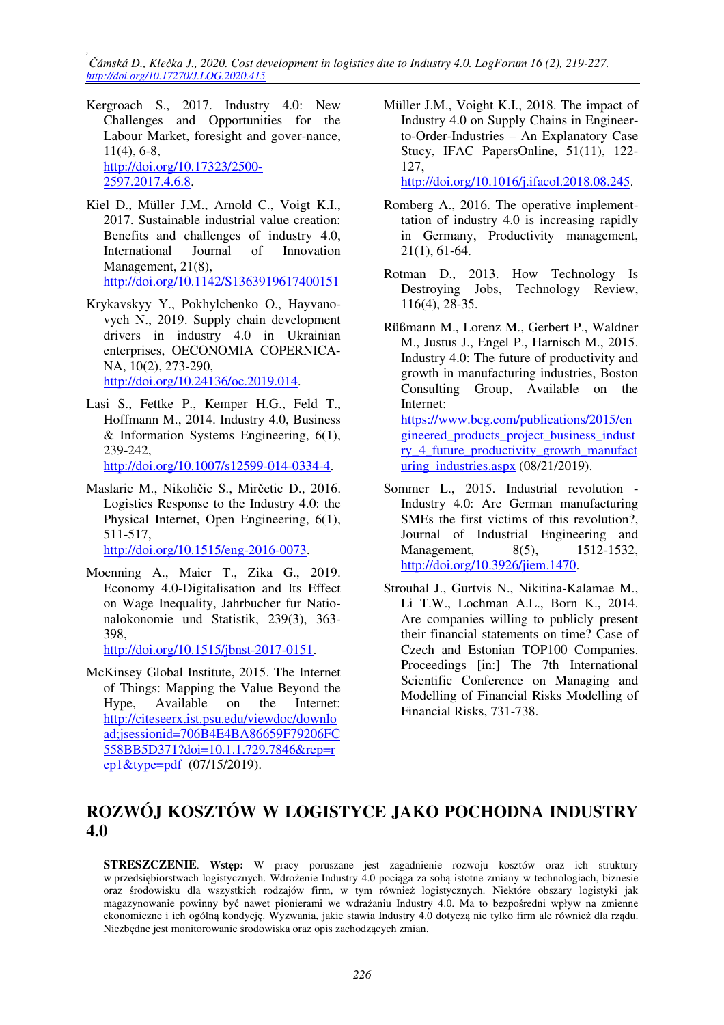*, Čámská D., Klečka J., 2020. Cost development in logistics due to Industry 4.0. LogForum 16 (2), 219-227. http://doi.org/10.17270/J.LOG.2020.415* 

- Kergroach S., 2017. Industry 4.0: New Challenges and Opportunities for the Labour Market, foresight and gover-nance, 11(4), 6-8, http://doi.org/10.17323/2500- 2597.2017.4.6.8.
- Kiel D., Müller J.M., Arnold C., Voigt K.I., 2017. Sustainable industrial value creation: Benefits and challenges of industry 4.0, International Journal of Innovation Management, 21(8), http://doi.org/10.1142/S1363919617400151
- Krykavskyy Y., Pokhylchenko O., Hayvanovych N., 2019. Supply chain development drivers in industry 4.0 in Ukrainian enterprises, OECONOMIA COPERNICA-NA, 10(2), 273-290, http://doi.org/10.24136/oc.2019.014.
- Lasi S., Fettke P., Kemper H.G., Feld T., Hoffmann M., 2014. Industry 4.0, Business & Information Systems Engineering, 6(1), 239-242,

http://doi.org/10.1007/s12599-014-0334-4.

Maslaric M., Nikoličic S., Mirčetic D., 2016. Logistics Response to the Industry 4.0: the Physical Internet, Open Engineering, 6(1), 511-517,

http://doi.org/10.1515/eng-2016-0073.

Moenning A., Maier T., Zika G., 2019. Economy 4.0-Digitalisation and Its Effect on Wage Inequality, Jahrbucher fur Nationalokonomie und Statistik, 239(3), 363- 398,

http://doi.org/10.1515/jbnst-2017-0151.

McKinsey Global Institute, 2015. The Internet of Things: Mapping the Value Beyond the Hype, Available on the Internet: http://citeseerx.ist.psu.edu/viewdoc/downlo ad;jsessionid=706B4E4BA86659F79206FC 558BB5D371?doi=10.1.1.729.7846&rep=r  $ep1&$  (07/15/2019).

Müller J.M., Voight K.I., 2018. The impact of Industry 4.0 on Supply Chains in Engineerto-Order-Industries – An Explanatory Case Stucy, IFAC PapersOnline, 51(11), 122- 127,

http://doi.org/10.1016/j.ifacol.2018.08.245.

- Romberg A., 2016. The operative implementtation of industry 4.0 is increasing rapidly in Germany, Productivity management, 21(1), 61-64.
- Rotman D., 2013. How Technology Is Destroying Jobs, Technology Review, 116(4), 28-35.
- Rüßmann M., Lorenz M., Gerbert P., Waldner M., Justus J., Engel P., Harnisch M., 2015. Industry 4.0: The future of productivity and growth in manufacturing industries, Boston Consulting Group, Available on the Internet: https://www.bcg.com/publications/2015/en gineered\_products\_project\_business\_indust ry\_4\_future\_productivity\_growth\_manufact uring\_industries.aspx (08/21/2019).
- Sommer L., 2015. Industrial revolution Industry 4.0: Are German manufacturing SMEs the first victims of this revolution?, Journal of Industrial Engineering and Management, 8(5), 1512-1532, http://doi.org/10.3926/jiem.1470.
- Strouhal J., Gurtvis N., Nikitina-Kalamae M., Li T.W., Lochman A.L., Born K., 2014. Are companies willing to publicly present their financial statements on time? Case of Czech and Estonian TOP100 Companies. Proceedings [in:] The 7th International Scientific Conference on Managing and Modelling of Financial Risks Modelling of Financial Risks, 731-738.

# **ROZWÓJ KOSZTÓW W LOGISTYCE JAKO POCHODNA INDUSTRY 4.0**

**STRESZCZENIE**. **Wstęp:** W pracy poruszane jest zagadnienie rozwoju kosztów oraz ich struktury w przedsiębiorstwach logistycznych. Wdrożenie Industry 4.0 pociąga za sobą istotne zmiany w technologiach, biznesie oraz środowisku dla wszystkich rodzajów firm, w tym również logistycznych. Niektóre obszary logistyki jak magazynowanie powinny być nawet pionierami we wdrażaniu Industry 4.0. Ma to bezpośredni wpływ na zmienne ekonomiczne i ich ogólną kondycję. Wyzwania, jakie stawia Industry 4.0 dotyczą nie tylko firm ale również dla rządu. Niezbędne jest monitorowanie środowiska oraz opis zachodzących zmian.